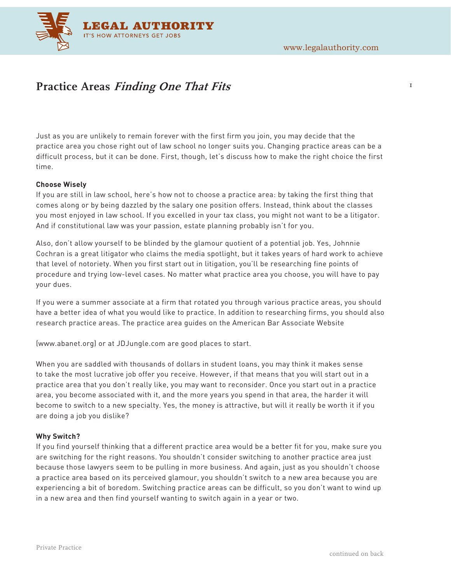$\mathbf I$ 



# **Practice Areas Finding One That Fits**

Just as you are unlikely to remain forever with the first firm you join, you may decide that the practice area you chose right out of law school no longer suits you. Changing practice areas can be a difficult process, but it can be done. First, though, let's discuss how to make the right choice the first time.

## **Choose Wisely**

If you are still in law school, here's how not to choose a practice area: by taking the first thing that comes along or by being dazzled by the salary one position offers. Instead, think about the classes you most enjoyed in law school. If you excelled in your tax class, you might not want to be a litigator. And if constitutional law was your passion, estate planning probably isn't for you.

Also, don't allow yourself to be blinded by the glamour quotient of a potential job. Yes, Johnnie Cochran is a great litigator who claims the media spotlight, but it takes years of hard work to achieve that level of notoriety. When you first start out in litigation, you'll be researching fine points of procedure and trying low-level cases. No matter what practice area you choose, you will have to pay your dues.

If you were a summer associate at a firm that rotated you through various practice areas, you should have a better idea of what you would like to practice. In addition to researching firms, you should also research practice areas. The practice area guides on the American Bar Associate Website

(www.abanet.org) or at JDJungle.com are good places to start.

When you are saddled with thousands of dollars in student loans, you may think it makes sense to take the most lucrative job offer you receive. However, if that means that you will start out in a practice area that you don't really like, you may want to reconsider. Once you start out in a practice area, you become associated with it, and the more years you spend in that area, the harder it will become to switch to a new specialty. Yes, the money is attractive, but will it really be worth it if you are doing a job you dislike?

## **Why Switch?**

If you find yourself thinking that a different practice area would be a better fit for you, make sure you are switching for the right reasons. You shouldn't consider switching to another practice area just because those lawyers seem to be pulling in more business. And again, just as you shouldn't choose a practice area based on its perceived glamour, you shouldn't switch to a new area because you are experiencing a bit of boredom. Switching practice areas can be difficult, so you don't want to wind up in a new area and then find yourself wanting to switch again in a year or two.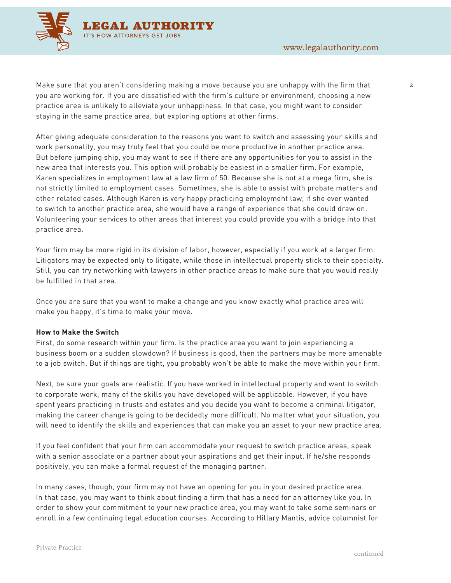

 $\mathfrak{D}$ 

Make sure that you aren't considering making a move because you are unhappy with the firm that you are working for. If you are dissatisfied with the firm's culture or environment, choosing a new practice area is unlikely to alleviate your unhappiness. In that case, you might want to consider staying in the same practice area, but exploring options at other firms.

After giving adequate consideration to the reasons you want to switch and assessing your skills and work personality, you may truly feel that you could be more productive in another practice area. But before jumping ship, you may want to see if there are any opportunities for you to assist in the new area that interests you. This option will probably be easiest in a smaller firm. For example, Karen specializes in employment law at a law firm of 50. Because she is not at a mega firm, she is not strictly limited to employment cases. Sometimes, she is able to assist with probate matters and other related cases. Although Karen is very happy practicing employment law, if she ever wanted to switch to another practice area, she would have a range of experience that she could draw on. Volunteering your services to other areas that interest you could provide you with a bridge into that practice area.

Your firm may be more rigid in its division of labor, however, especially if you work at a larger firm. Litigators may be expected only to litigate, while those in intellectual property stick to their specialty. Still, you can try networking with lawyers in other practice areas to make sure that you would really be fulfilled in that area.

Once you are sure that you want to make a change and you know exactly what practice area will make you happy, it's time to make your move.

### **How to Make the Switch**

First, do some research within your firm. Is the practice area you want to join experiencing a business boom or a sudden slowdown? If business is good, then the partners may be more amenable to a job switch. But if things are tight, you probably won't be able to make the move within your firm.

Next, be sure your goals are realistic. If you have worked in intellectual property and want to switch to corporate work, many of the skills you have developed will be applicable. However, if you have spent years practicing in trusts and estates and you decide you want to become a criminal litigator, making the career change is going to be decidedly more difficult. No matter what your situation, you will need to identify the skills and experiences that can make you an asset to your new practice area.

If you feel confident that your firm can accommodate your request to switch practice areas, speak with a senior associate or a partner about your aspirations and get their input. If he/she responds positively, you can make a formal request of the managing partner.

In many cases, though, your firm may not have an opening for you in your desired practice area. In that case, you may want to think about finding a firm that has a need for an attorney like you. In order to show your commitment to your new practice area, you may want to take some seminars or enroll in a few continuing legal education courses. According to Hillary Mantis, advice columnist for